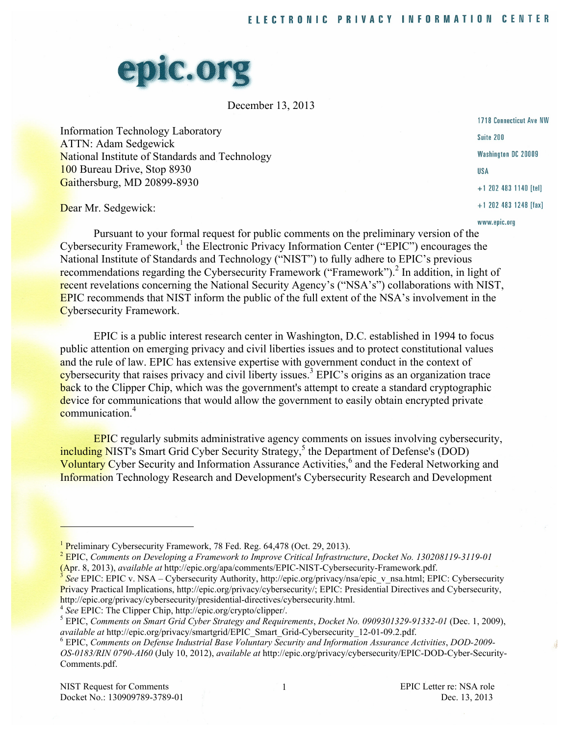

December 13, 2013

Information Technology Laboratory ATTN: Adam Sedgewick National Institute of Standards and Technology 100 Bureau Drive, Stop 8930 Gaithersburg, MD 20899-8930

1718 Connecticut Ave NW Suite 200 Washington DC 20009 **USA**  $+1$  202 483 1140 [tel]  $+1$  202 483 1248 [fax] www.epic.org

Dear Mr. Sedgewick:

Pursuant to your formal request for public comments on the preliminary version of the  $Cy$ bersecurity Framework,<sup>1</sup> the Electronic Privacy Information Center ("EPIC") encourages the National Institute of Standards and Technology ("NIST") to fully adhere to EPIC's previous recommendations regarding the Cybersecurity Framework ("Framework").<sup>2</sup> In addition, in light of recent revelations concerning the National Security Agency's ("NSA's") collaborations with NIST, EPIC recommends that NIST inform the public of the full extent of the NSA's involvement in the Cybersecurity Framework.

EPIC is a public interest research center in Washington, D.C. established in 1994 to focus public attention on emerging privacy and civil liberties issues and to protect constitutional values and the rule of law. EPIC has extensive expertise with government conduct in the context of cybersecurity that raises privacy and civil liberty issues.<sup>3</sup> EPIC's origins as an organization trace back to the Clipper Chip, which was the government's attempt to create a standard cryptographic device for communications that would allow the government to easily obtain encrypted private communication<sup>4</sup>

EPIC regularly submits administrative agency comments on issues involving cybersecurity, including NIST's Smart Grid Cyber Security Strategy,<sup>5</sup> the Department of Defense's (DOD) Voluntary Cyber Security and Information Assurance Activities,<sup>6</sup> and the Federal Networking and Information Technology Research and Development's Cybersecurity Research and Development

 EPIC, *Comments on Developing a Framework to Improve Critical Infrastructure*, *Docket No. 130208119-3119-01* (Apr. 8, 2013), *available at* http://epic.org/apa/comments/EPIC-NIST-Cybersecurity-Framework.pdf.

Privacy Practical Implications, http://epic.org/privacy/cybersecurity/; EPIC: Presidential Directives and Cybersecurity, <sup>3</sup>*See* EPIC: EPIC v. NSA – Cybersecurity Authority, http://epic.org/privacy/nsa/epic\_v\_nsa.html; EPIC: Cybersecurity http://epic.org/privacy/cybersecurity/presidential-directives/cybersecurity.html.

<sup>4</sup> See EPIC: The Clipper Chip, http://epic.org/crypto/clipper/.<br><sup>5</sup> EPIC: Commants on Smant Crist Cuboy Stuateon and Boaving

 EPIC, *Comments on Smart Grid Cyber Strategy and Requirements*, *Docket No. 0909301329-91332-01* (Dec. 1, 2009), *available at* http://epic.org/privacy/smartgrid/EPIC\_Smart\_Grid-Cybersecurity\_12-01-09.2.pdf. <sup>6</sup>

**Preliminary Cybersecurity Framework, 78 Fed. Reg. 64,478 (Oct. 29, 2013).**<br><u>2 EDIC Commants</u> on Daveloning a Framework to Improve Critical Infrastructure

 EPIC, *Comments on Defense Industrial Base Voluntary Security and Information Assurance Activities*, *DOD-2009- OS-0183/RIN 0790-AI60* (July 10, 2012), *available at* http://epic.org/privacy/cybersecurity/EPIC-DOD-Cyber-Security-Comments.pdf.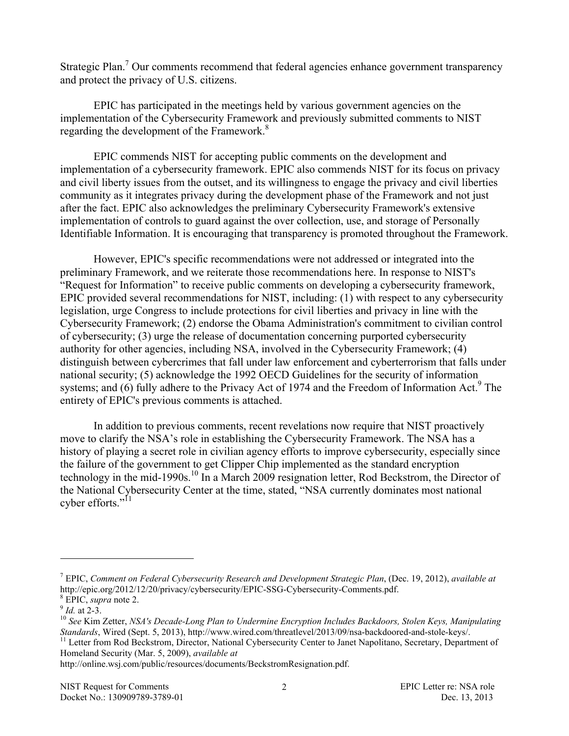Strategic Plan.<sup>7</sup> Our comments recommend that federal agencies enhance government transparency and protect the privacy of U.S. citizens.

EPIC has participated in the meetings held by various government agencies on the implementation of the Cybersecurity Framework and previously submitted comments to NIST regarding the development of the Framework.<sup>8</sup>

EPIC commends NIST for accepting public comments on the development and implementation of a cybersecurity framework. EPIC also commends NIST for its focus on privacy and civil liberty issues from the outset, and its willingness to engage the privacy and civil liberties community as it integrates privacy during the development phase of the Framework and not just after the fact. EPIC also acknowledges the preliminary Cybersecurity Framework's extensive implementation of controls to guard against the over collection, use, and storage of Personally Identifiable Information. It is encouraging that transparency is promoted throughout the Framework.

 entirety of EPIC's previous comments is attached. However, EPIC's specific recommendations were not addressed or integrated into the preliminary Framework, and we reiterate those recommendations here. In response to NIST's "Request for Information" to receive public comments on developing a cybersecurity framework, EPIC provided several recommendations for NIST, including: (1) with respect to any cybersecurity legislation, urge Congress to include protections for civil liberties and privacy in line with the Cybersecurity Framework; (2) endorse the Obama Administration's commitment to civilian control of cybersecurity; (3) urge the release of documentation concerning purported cybersecurity authority for other agencies, including NSA, involved in the Cybersecurity Framework; (4) distinguish between cybercrimes that fall under law enforcement and cyberterrorism that falls under national security; (5) acknowledge the 1992 OECD Guidelines for the security of information systems; and  $(6)$  fully adhere to the Privacy Act of 1974 and the Freedom of Information Act.<sup>9</sup> The

cyber efforts."<sup>11</sup> In addition to previous comments, recent revelations now require that NIST proactively move to clarify the NSA's role in establishing the Cybersecurity Framework. The NSA has a history of playing a secret role in civilian agency efforts to improve cybersecurity, especially since the failure of the government to get Clipper Chip implemented as the standard encryption technology in the mid-1990s.<sup>10</sup> In a March 2009 resignation letter, Rod Beckstrom, the Director of the National Cybersecurity Center at the time, stated, "NSA currently dominates most national

 $\overline{a}$ 

 7 EPIC, *Comment on Federal Cybersecurity Research and Development Strategic Plan*, (Dec. 19, 2012), *available at* http://epic.org/2012/12/20/privacy/cybersecurity/EPIC-SSG-Cybersecurity-Comments.pdf. <sup>8</sup>

<sup>&</sup>lt;sup>8</sup> EPIC, *supra* note 2.<br><sup>9</sup> *Id.* at 2-3.

<sup>&</sup>lt;sup>9</sup> Id. at 2-3.<br><sup>10</sup> See Kim Zetter, *NSA's Decade-Long Plan to Undermine Encryption Includes Backdoors, Stolen Keys, Manipulating* Standards, Wired (Sept. 5, 2013), http://www.wired.com/threatlevel/2013/09/nsa-backdoored-and-stole-keys/.<br><sup>11</sup> Letter from Rod Beckstrom, Director, National Cybersecurity Center to Janet Napolitano, Secretary, Department *Standards*, Wired (Sept. 5, 2013), http://www.wired.com/threatlevel/2013/09/nsa-backdoored-and-stole-keys/.

 Homeland Security (Mar. 5, 2009), *available at*

http://online.wsj.com/public/resources/documents/BeckstromResignation.pdf.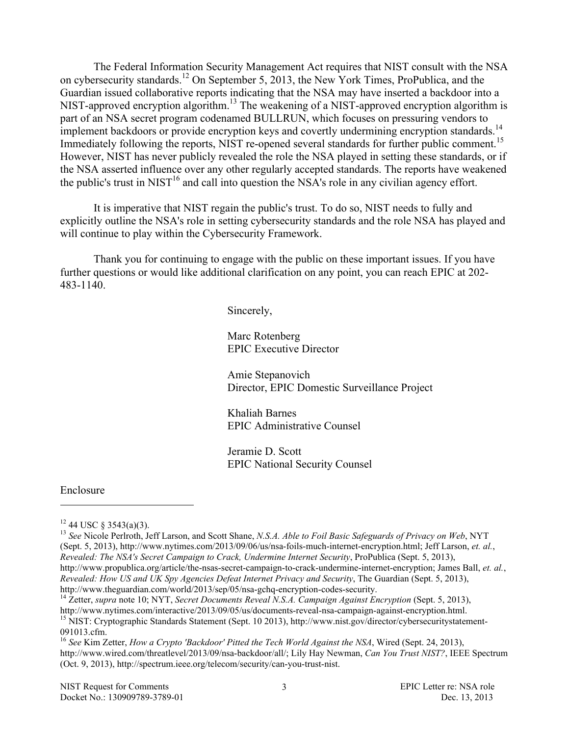Immediately following the reports, NIST re-opened several standards for further public comment.<sup>15</sup> the public's trust in NIST<sup>16</sup> and call into question the NSA's role in any civilian agency effort.<br>It is imperative that NIST regain the public's trust. To do so, NIST needs to fully and The Federal Information Security Management Act requires that NIST consult with the NSA on cybersecurity standards.<sup>12</sup> On September 5, 2013, the New York Times, ProPublica, and the Guardian issued collaborative reports indicating that the NSA may have inserted a backdoor into a NIST-approved encryption algorithm.<sup>13</sup> The weakening of a NIST-approved encryption algorithm is part of an NSA secret program codenamed BULLRUN, which focuses on pressuring vendors to implement backdoors or provide encryption keys and covertly undermining encryption standards.<sup>14</sup> However, NIST has never publicly revealed the role the NSA played in setting these standards, or if the NSA asserted influence over any other regularly accepted standards. The reports have weakened

 explicitly outline the NSA's role in setting cybersecurity standards and the role NSA has played and will continue to play within the Cybersecurity Framework.

Thank you for continuing to engage with the public on these important issues. If you have further questions or would like additional clarification on any point, you can reach EPIC at 202- 483-1140.

Sincerely,

Marc Rotenberg EPIC Executive Director

Amie Stepanovich Director, EPIC Domestic Surveillance Project

Khaliah Barnes EPIC Administrative Counsel

Jeramie D. Scott EPIC National Security Counsel

#### Enclosure

 $\overline{a}$ 

<sup>12</sup> 44 USC § 3543(a)(3).<br><sup>13</sup> See Nicole Perlroth, Jeff Larson, and Scott Shane, *N.S.A. Able to Foil Basic Safeguards of Privacy on Web*, NYT (Sept. 5, 2013), http://www.nytimes.com/2013/09/06/us/nsa-foils-much-internet-encryption.html; Jeff Larson, *et. al.*,  *Revealed: The NSA's Secret Campaign to Crack, Undermine Internet Security*, ProPublica (Sept. 5, 2013), http://www.propublica.org/article/the-nsas-secret-campaign-to-crack-undermine-internet-encryption; James Ball, *et. al.*,  *Revealed: How US and UK Spy Agencies Defeat Internet Privacy and Security*, The Guardian (Sept. 5, 2013),

http://www.theguardian.com/world/2013/sep/05/nsa-gchq-encryption-codes-security.<br><sup>14</sup> Zetter, *supra* note 10; NYT, *Secret Documents Reveal N.S.A. Campaign Against Encryption* (Sept. 5, 2013), http://www.nytimes.com/interactive/2013/09/05/us/documents-reveal-nsa-campaign-against-encryption.html.<br><sup>15</sup> NIST: Cryptographic Standards Statement (Sept. 10 2013), http://www.nist.gov/director/cybersecuritystatement-

091013.cfm.<br><sup>16</sup> See Kim Zetter, *How a Crypto 'Backdoor' Pitted the Tech World Against the NSA*, Wired (Sept. 24, 2013), 091013.cfm.

 http://www.wired.com/threatlevel/2013/09/nsa-backdoor/all/; Lily Hay Newman, *Can You Trust NIST?*, IEEE Spectrum (Oct. 9, 2013), http://spectrum.ieee.org/telecom/security/can-you-trust-nist.

 $12$  44 USC  $\frac{12}{9}$  3543(a)(3).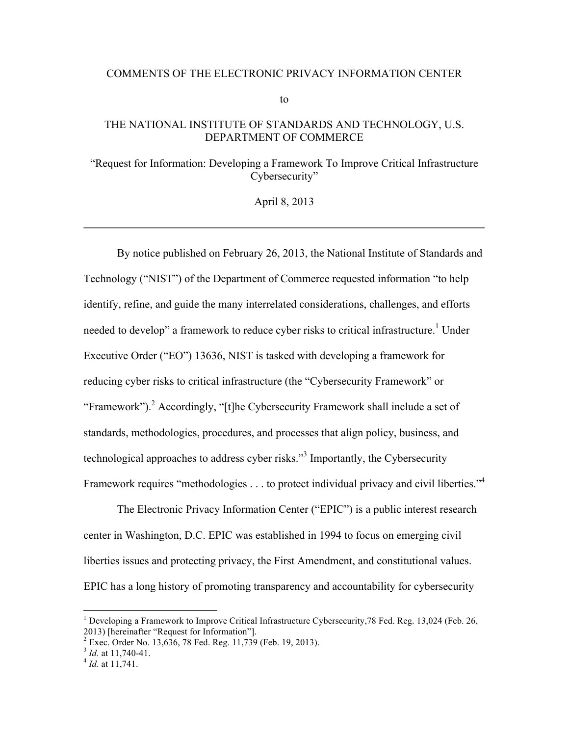#### COMMENTS OF THE ELECTRONIC PRIVACY INFORMATION CENTER

to

## THE NATIONAL INSTITUTE OF STANDARDS AND TECHNOLOGY, U.S. DEPARTMENT OF COMMERCE

"Request for Information: Developing a Framework To Improve Critical Infrastructure Cybersecurity"

April 8, 2013

By notice published on February 26, 2013, the National Institute of Standards and Technology ("NIST") of the Department of Commerce requested information "to help identify, refine, and guide the many interrelated considerations, challenges, and efforts needed to develop" a framework to reduce cyber risks to critical infrastructure.<sup>1</sup> Under Executive Order ("EO") 13636, NIST is tasked with developing a framework for reducing cyber risks to critical infrastructure (the "Cybersecurity Framework" or "Framework").<sup>2</sup> Accordingly, "[t]he Cybersecurity Framework shall include a set of standards, methodologies, procedures, and processes that align policy, business, and technological approaches to address cyber risks."<sup>3</sup> Importantly, the Cybersecurity Framework requires "methodologies . . . to protect individual privacy and civil liberties."<sup>4</sup>

The Electronic Privacy Information Center ("EPIC") is a public interest research center in Washington, D.C. EPIC was established in 1994 to focus on emerging civil liberties issues and protecting privacy, the First Amendment, and constitutional values. EPIC has a long history of promoting transparency and accountability for cybersecurity

<sup>2013) [</sup>hereinafter "Request for Information"].<br> $2 \text{ E}$  2.220, Order No. 12.626, 78 Eed, Reg. 11.720 <sup>1</sup> Developing a Framework to Improve Critical Infrastructure Cybersecurity,78 Fed. Reg. 13,024 (Feb. 26,

Exec. Order No. 13,636, 78 Fed. Reg. 11,739 (Feb. 19, 2013). <sup>3</sup>*Id.* at 11,740-41.

<sup>&</sup>lt;sup>3</sup> *Id.* at 11,740-41.<br><sup>4</sup> *Id.* at 11,741.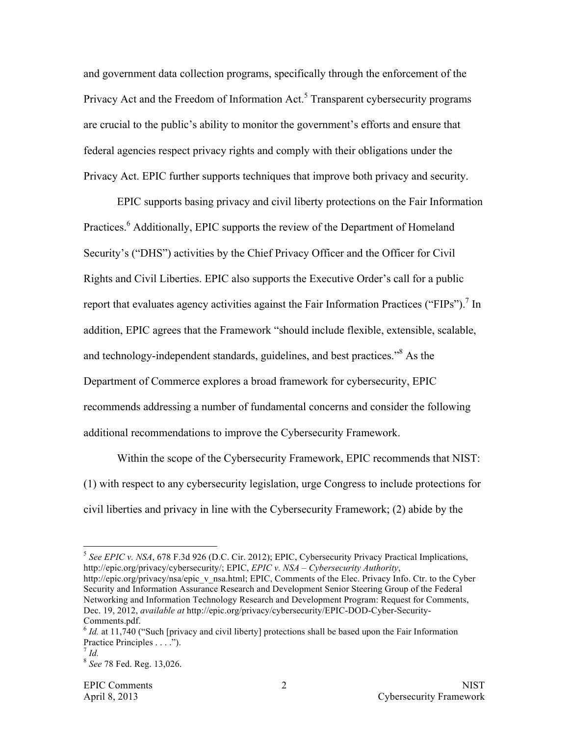and government data collection programs, specifically through the enforcement of the Privacy Act and the Freedom of Information Act.<sup>5</sup> Transparent cybersecurity programs are crucial to the public's ability to monitor the government's efforts and ensure that federal agencies respect privacy rights and comply with their obligations under the Privacy Act. EPIC further supports techniques that improve both privacy and security.

EPIC supports basing privacy and civil liberty protections on the Fair Information Practices.<sup>6</sup> Additionally, EPIC supports the review of the Department of Homeland Security's ("DHS") activities by the Chief Privacy Officer and the Officer for Civil Rights and Civil Liberties. EPIC also supports the Executive Order's call for a public report that evaluates agency activities against the Fair Information Practices ("FIPs").<sup>7</sup> In addition, EPIC agrees that the Framework "should include flexible, extensible, scalable, and technology-independent standards, guidelines, and best practices."<sup>8</sup> As the Department of Commerce explores a broad framework for cybersecurity, EPIC recommends addressing a number of fundamental concerns and consider the following additional recommendations to improve the Cybersecurity Framework.

Within the scope of the Cybersecurity Framework, EPIC recommends that NIST: (1) with respect to any cybersecurity legislation, urge Congress to include protections for civil liberties and privacy in line with the Cybersecurity Framework; (2) abide by the

<sup>&</sup>lt;sup>5</sup> See EPIC v. NSA, 678 F.3d 926 (D.C. Cir. 2012); EPIC, Cybersecurity Privacy Practical Implications, http://epic.org/privacy/cybersecurity/; EPIC, *EPIC v. NSA – Cybersecurity Authority*, http://epic.org/privacy/nsa/epic\_v\_nsa.html; EPIC, Comments of the Elec. Privacy Info. Ctr. to the Cyber Security and Information Assurance Research and Development Senior Steering Group of the Federal Networking and Information Technology Research and Development Program: Request for Comments, Dec. 19, 2012, *available at* http://epic.org/privacy/cybersecurity/EPIC-DOD-Cyber-Security-Comments.pdf.

<sup>&</sup>lt;sup>6</sup> *Id.* at 11,740 ("Such [privacy and civil liberty] protections shall be based upon the Fair Information Practice Principles . . . ."). <sup>7</sup>*Id.*

<sup>8</sup>*See* 78 Fed. Reg. 13,026.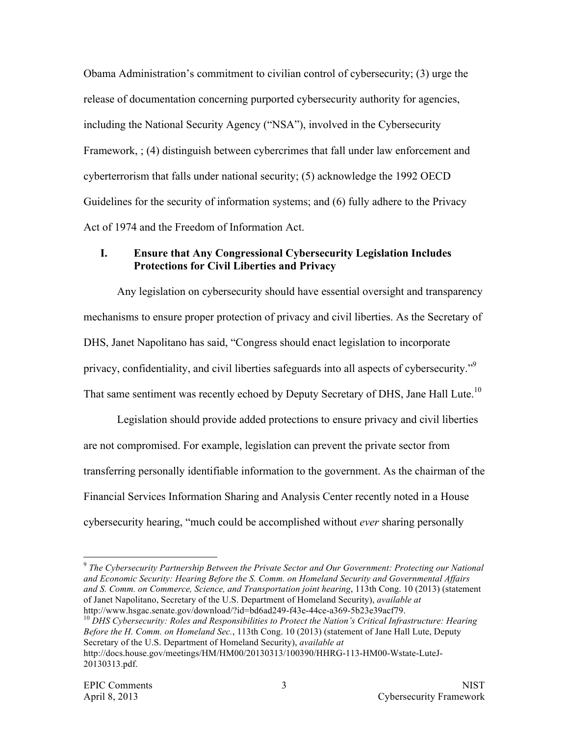Obama Administration's commitment to civilian control of cybersecurity; (3) urge the release of documentation concerning purported cybersecurity authority for agencies, including the National Security Agency ("NSA"), involved in the Cybersecurity Framework, ; (4) distinguish between cybercrimes that fall under law enforcement and cyberterrorism that falls under national security; (5) acknowledge the 1992 OECD Guidelines for the security of information systems; and (6) fully adhere to the Privacy Act of 1974 and the Freedom of Information Act.

# **I. Ensure that Any Congressional Cybersecurity Legislation Includes Protections for Civil Liberties and Privacy**

Any legislation on cybersecurity should have essential oversight and transparency mechanisms to ensure proper protection of privacy and civil liberties. As the Secretary of DHS, Janet Napolitano has said, "Congress should enact legislation to incorporate privacy, confidentiality, and civil liberties safeguards into all aspects of cybersecurity."9 That same sentiment was recently echoed by Deputy Secretary of DHS, Jane Hall Lute.<sup>10</sup>

Legislation should provide added protections to ensure privacy and civil liberties are not compromised. For example, legislation can prevent the private sector from transferring personally identifiable information to the government. As the chairman of the Financial Services Information Sharing and Analysis Center recently noted in a House cybersecurity hearing, "much could be accomplished without *ever* sharing personally

<sup>&</sup>lt;sup>9</sup> The Cybersecurity Partnership Between the Private Sector and Our Government: Protecting our National  *and Economic Security: Hearing Before the S. Comm. on Homeland Security and Governmental Affairs and S. Comm. on Commerce, Science, and Transportation joint hearing*, 113th Cong. 10 (2013) (statement of Janet Napolitano, Secretary of the U.S. Department of Homeland Security), *available at* 

http://www.hsgac.senate.gov/download/?id=bd6ad249-f43e-44ce-a369-5b23e39acf79.<br><sup>10</sup> DHS Cybersecurity: Roles and Responsibilities to Protect the Nation's Critical Infrastructure: Hearing  *Before the H. Comm. on Homeland Sec.*, 113th Cong. 10 (2013) (statement of Jane Hall Lute, Deputy Secretary of the U.S. Department of Homeland Security), *available at*  http://docs.house.gov/meetings/HM/HM00/20130313/100390/HHRG-113-HM00-Wstate-LuteJ-20130313.pdf.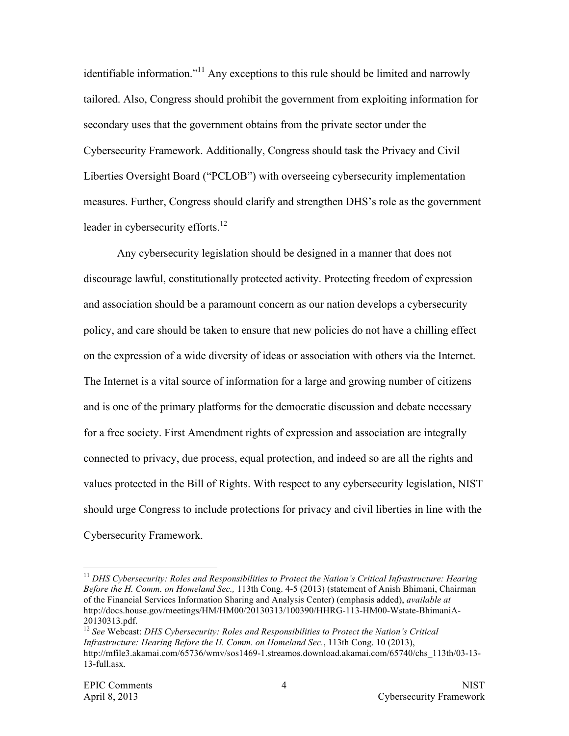identifiable information."<sup>11</sup> Any exceptions to this rule should be limited and narrowly tailored. Also, Congress should prohibit the government from exploiting information for secondary uses that the government obtains from the private sector under the Cybersecurity Framework. Additionally, Congress should task the Privacy and Civil Liberties Oversight Board ("PCLOB") with overseeing cybersecurity implementation measures. Further, Congress should clarify and strengthen DHS's role as the government leader in cybersecurity efforts.<sup>12</sup>

Any cybersecurity legislation should be designed in a manner that does not discourage lawful, constitutionally protected activity. Protecting freedom of expression and association should be a paramount concern as our nation develops a cybersecurity policy, and care should be taken to ensure that new policies do not have a chilling effect on the expression of a wide diversity of ideas or association with others via the Internet. The Internet is a vital source of information for a large and growing number of citizens and is one of the primary platforms for the democratic discussion and debate necessary for a free society. First Amendment rights of expression and association are integrally connected to privacy, due process, equal protection, and indeed so are all the rights and values protected in the Bill of Rights. With respect to any cybersecurity legislation, NIST should urge Congress to include protections for privacy and civil liberties in line with the Cybersecurity Framework.

<sup>&</sup>lt;sup>11</sup> DHS Cybersecurity: Roles and Responsibilities to Protect the Nation's Critical Infrastructure: Hearing  *Before the H. Comm. on Homeland Sec.,* 113th Cong. 4-5 (2013) (statement of Anish Bhimani, Chairman of the Financial Services Information Sharing and Analysis Center) (emphasis added), *available at*  http://docs.house.gov/meetings/HM/HM00/20130313/100390/HHRG-113-HM00-Wstate-BhimaniA-20130313.pdf.

<sup>&</sup>lt;sup>12</sup> See Webcast: DHS Cybersecurity: Roles and Responsibilities to Protect the Nation's Critical  *Infrastructure: Hearing Before the H. Comm. on Homeland Sec.*, 113th Cong. 10 (2013), http://mfile3.akamai.com/65736/wmy/sos1469-1.streamos.download.akamai.com/65740/chs\_113th/03-13-13-full.asx*.*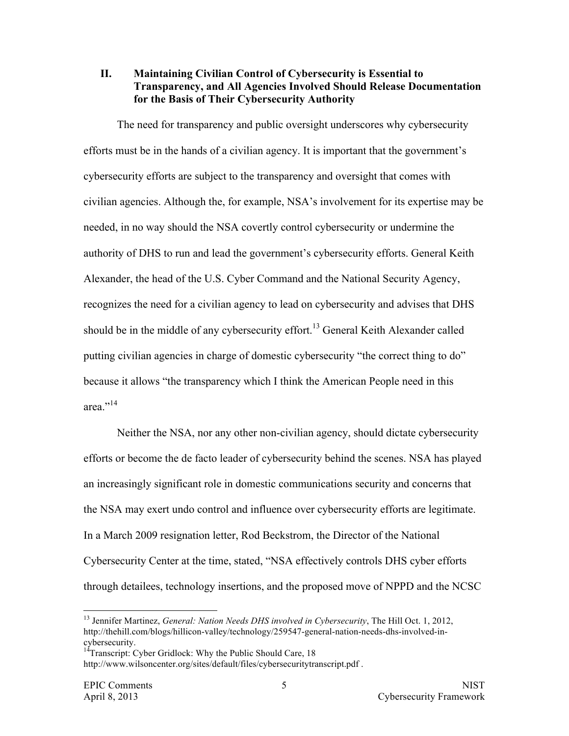#### **II. Maintaining Civilian Control of Cybersecurity is Essential to Transparency, and All Agencies Involved Should Release Documentation for the Basis of Their Cybersecurity Authority**

The need for transparency and public oversight underscores why cybersecurity efforts must be in the hands of a civilian agency. It is important that the government's cybersecurity efforts are subject to the transparency and oversight that comes with civilian agencies. Although the, for example, NSA's involvement for its expertise may be needed, in no way should the NSA covertly control cybersecurity or undermine the authority of DHS to run and lead the government's cybersecurity efforts. General Keith Alexander, the head of the U.S. Cyber Command and the National Security Agency, recognizes the need for a civilian agency to lead on cybersecurity and advises that DHS should be in the middle of any cybersecurity effort.<sup>13</sup> General Keith Alexander called putting civilian agencies in charge of domestic cybersecurity "the correct thing to do" because it allows "the transparency which I think the American People need in this area<sup>",14</sup>

Neither the NSA, nor any other non-civilian agency, should dictate cybersecurity efforts or become the de facto leader of cybersecurity behind the scenes. NSA has played an increasingly significant role in domestic communications security and concerns that the NSA may exert undo control and influence over cybersecurity efforts are legitimate. In a March 2009 resignation letter, Rod Beckstrom, the Director of the National Cybersecurity Center at the time, stated, "NSA effectively controls DHS cyber efforts through detailees, technology insertions, and the proposed move of NPPD and the NCSC

<sup>13</sup> Jennifer Martinez, *General: Nation Needs DHS involved in Cybersecurity*, The Hill Oct. 1, 2012, http://thehill.com/blogs/hillicon-valley/technology/259547-general-nation-needs-dhs-involved-incybersecurity.

<sup>&</sup>lt;sup>14</sup>Transcript: Cyber Gridlock: Why the Public Should Care, 18 http://www.wilsoncenter.org/sites/default/files/cybersecuritytranscript.pdf .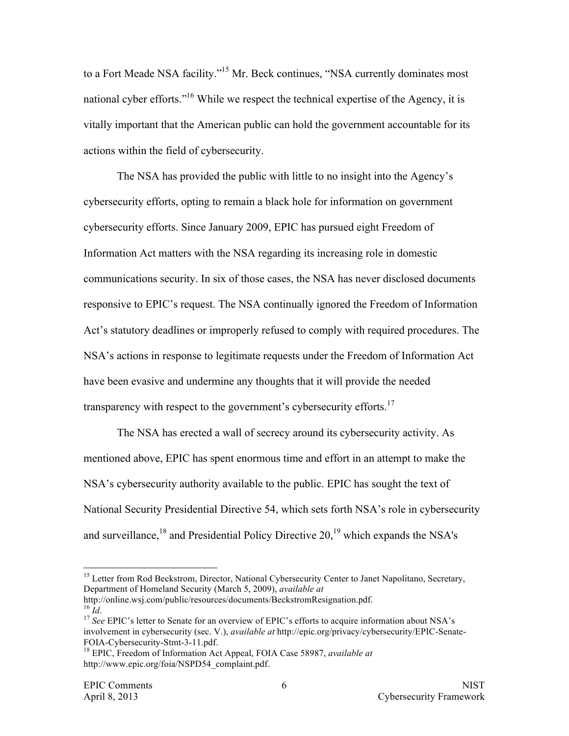to a Fort Meade NSA facility."15 Mr. Beck continues, "NSA currently dominates most national cyber efforts."16 While we respect the technical expertise of the Agency, it is vitally important that the American public can hold the government accountable for its actions within the field of cybersecurity.

The NSA has provided the public with little to no insight into the Agency's cybersecurity efforts, opting to remain a black hole for information on government cybersecurity efforts. Since January 2009, EPIC has pursued eight Freedom of Information Act matters with the NSA regarding its increasing role in domestic communications security. In six of those cases, the NSA has never disclosed documents responsive to EPIC's request. The NSA continually ignored the Freedom of Information Act's statutory deadlines or improperly refused to comply with required procedures. The NSA's actions in response to legitimate requests under the Freedom of Information Act have been evasive and undermine any thoughts that it will provide the needed transparency with respect to the government's cybersecurity efforts.<sup>17</sup>

The NSA has erected a wall of secrecy around its cybersecurity activity. As mentioned above, EPIC has spent enormous time and effort in an attempt to make the NSA's cybersecurity authority available to the public. EPIC has sought the text of National Security Presidential Directive 54, which sets forth NSA's role in cybersecurity and surveillance, $^{18}$  and Presidential Policy Directive 20, $^{19}$  which expands the NSA's

 $^{16}$   $\tilde{I}$ d. http://online.wsj.com/public/resources/documents/BeckstromResignation.pdf.

<sup>&</sup>lt;sup>15</sup> Letter from Rod Beckstrom, Director, National Cybersecurity Center to Janet Napolitano, Secretary, Department of Homeland Security (March 5, 2009), *available at*

<sup>&</sup>lt;sup>16</sup> Id.<br><sup>17</sup> See EPIC's letter to Senate for an overview of EPIC's efforts to acquire information about NSA's involvement in cybersecurity (sec. V.), *available at* http://epic.org/privacy/cybersecurity/EPIC-Senate-

<sup>&</sup>lt;sup>18</sup> EPIC, Freedom of Information Act Appeal, FOIA Case 58987, *available at* http://www.epic.org/foia/NSPD54\_complaint.pdf.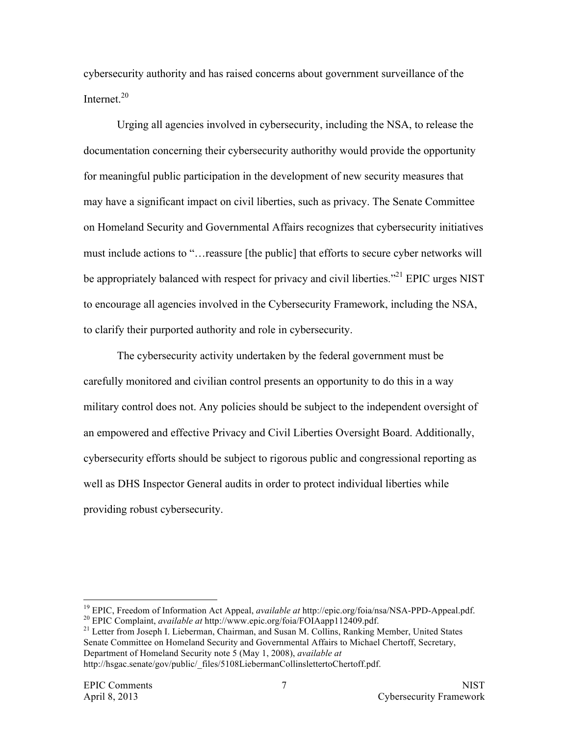cybersecurity authority and has raised concerns about government surveillance of the Internet.<sup>20</sup>

Urging all agencies involved in cybersecurity, including the NSA, to release the documentation concerning their cybersecurity authorithy would provide the opportunity for meaningful public participation in the development of new security measures that may have a significant impact on civil liberties, such as privacy. The Senate Committee on Homeland Security and Governmental Affairs recognizes that cybersecurity initiatives must include actions to "…reassure [the public] that efforts to secure cyber networks will be appropriately balanced with respect for privacy and civil liberties."<sup>21</sup> EPIC urges NIST to encourage all agencies involved in the Cybersecurity Framework, including the NSA, to clarify their purported authority and role in cybersecurity.

The cybersecurity activity undertaken by the federal government must be carefully monitored and civilian control presents an opportunity to do this in a way military control does not. Any policies should be subject to the independent oversight of an empowered and effective Privacy and Civil Liberties Oversight Board. Additionally, cybersecurity efforts should be subject to rigorous public and congressional reporting as well as DHS Inspector General audits in order to protect individual liberties while providing robust cybersecurity.

<sup>19</sup> EPIC, Freedom of Information Act Appeal, *available at* http://epic.org/foia/nsa/NSA-PPD-Appeal.pdf.

20 EPIC Complaint, *available at* http://www.epic.org/foia/FOIAapp112409.pdf.

 Senate Committee on Homeland Security and Governmental Affairs to Michael Chertoff, Secretary, Department of Homeland Security note 5 (May 1, 2008), *available at* <sup>21</sup> Letter from Joseph I. Lieberman, Chairman, and Susan M. Collins, Ranking Member, United States http://hsgac.senate/gov/public/\_files/5108LiebermanCollinslettertoChertoff.pdf.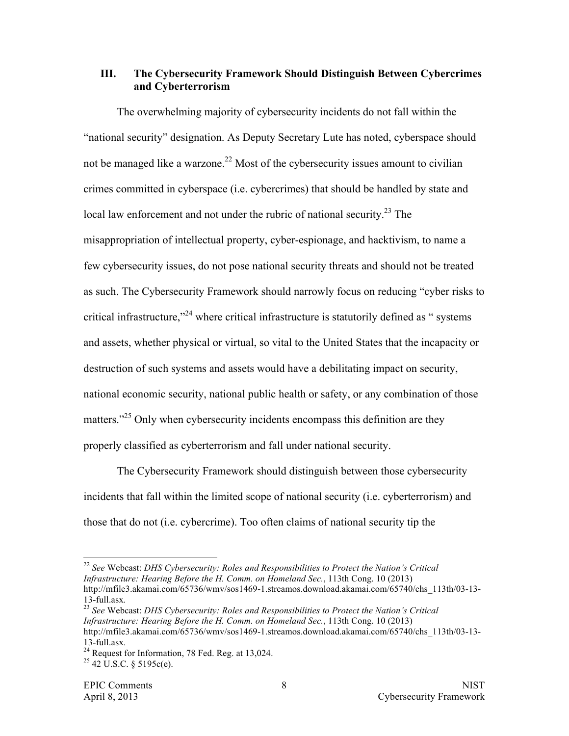## **III. The Cybersecurity Framework Should Distinguish Between Cybercrimes and Cyberterrorism**

The overwhelming majority of cybersecurity incidents do not fall within the "national security" designation. As Deputy Secretary Lute has noted, cyberspace should not be managed like a warzone.<sup>22</sup> Most of the cybersecurity issues amount to civilian crimes committed in cyberspace (i.e. cybercrimes) that should be handled by state and local law enforcement and not under the rubric of national security.<sup>23</sup> The misappropriation of intellectual property, cyber-espionage, and hacktivism, to name a few cybersecurity issues, do not pose national security threats and should not be treated as such. The Cybersecurity Framework should narrowly focus on reducing "cyber risks to critical infrastructure,"<sup>24</sup> where critical infrastructure is statutorily defined as " systems and assets, whether physical or virtual, so vital to the United States that the incapacity or destruction of such systems and assets would have a debilitating impact on security, national economic security, national public health or safety, or any combination of those matters."<sup>25</sup> Only when cybersecurity incidents encompass this definition are they properly classified as cyberterrorism and fall under national security.

The Cybersecurity Framework should distinguish between those cybersecurity incidents that fall within the limited scope of national security (i.e. cyberterrorism) and those that do not (i.e. cybercrime). Too often claims of national security tip the

 <sup>22</sup>*See* Webcast: *DHS Cybersecurity: Roles and Responsibilities to Protect the Nation's Critical Infrastructure: Hearing Before the H. Comm. on Homeland Sec.*, 113th Cong. 10 (2013) !!!!!!!!!!!!!!!!!!!!!!!!!!!!!!!!!!!!!!!!!!!!!!!!!!!!!!! http://mfile3.akamai.com/65736/wmy/sos1469-1.streamos.download.akamai.com/65740/chs\_113th/03-13-13-full.asx*.*

 <sup>23</sup>*See* Webcast: *DHS Cybersecurity: Roles and Responsibilities to Protect the Nation's Critical Infrastructure: Hearing Before the H. Comm. on Homeland Sec.*, 113th Cong. 10 (2013) http://mfile3.akamai.com/65736/wmv/sos1469-1.streamos.download.akamai.com/65740/chs\_113th/03-13-13-full.asx*.*

<sup>13-</sup>full.asx.<br><sup>24</sup> Request for Information, 78 Fed. Reg. at 13,024. <sup>24</sup> Request for Information, 78 Fed. Reg. at 13,024.<br><sup>25</sup> 42 U.S.C. § 5195c(e).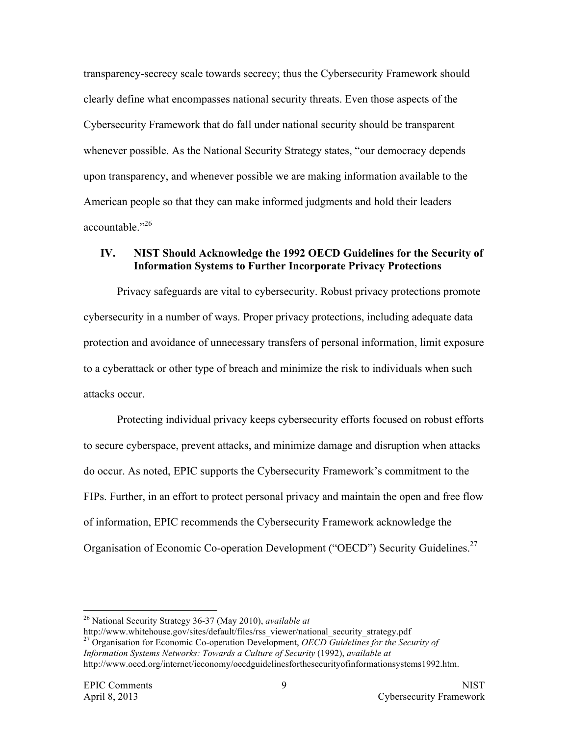transparency-secrecy scale towards secrecy; thus the Cybersecurity Framework should clearly define what encompasses national security threats. Even those aspects of the Cybersecurity Framework that do fall under national security should be transparent whenever possible. As the National Security Strategy states, "our democracy depends upon transparency, and whenever possible we are making information available to the American people so that they can make informed judgments and hold their leaders accountable."26

## **IV. NIST Should Acknowledge the 1992 OECD Guidelines for the Security of Information Systems to Further Incorporate Privacy Protections**

Privacy safeguards are vital to cybersecurity. Robust privacy protections promote cybersecurity in a number of ways. Proper privacy protections, including adequate data protection and avoidance of unnecessary transfers of personal information, limit exposure to a cyberattack or other type of breach and minimize the risk to individuals when such attacks occur.

Organisation of Economic Co-operation Development ("OECD") Security Guidelines.<sup>27</sup> Protecting individual privacy keeps cybersecurity efforts focused on robust efforts to secure cyberspace, prevent attacks, and minimize damage and disruption when attacks do occur. As noted, EPIC supports the Cybersecurity Framework's commitment to the FIPs. Further, in an effort to protect personal privacy and maintain the open and free flow of information, EPIC recommends the Cybersecurity Framework acknowledge the

<sup>26</sup> National Security Strategy 36-37 (May 2010), *available at* 

 http://www.whitehouse.gov/sites/default/files/rss\_viewer/national\_security\_strategy.pdf 27 Organisation for Economic Co-operation Development, *OECD Guidelines for the Security of*  Information Systems Networks: Towards a Culture of Security (1992), available at http://www.oecd.org/internet/ieconomy/oecdguidelinesforthesecurityofinformationsystems1992.htm.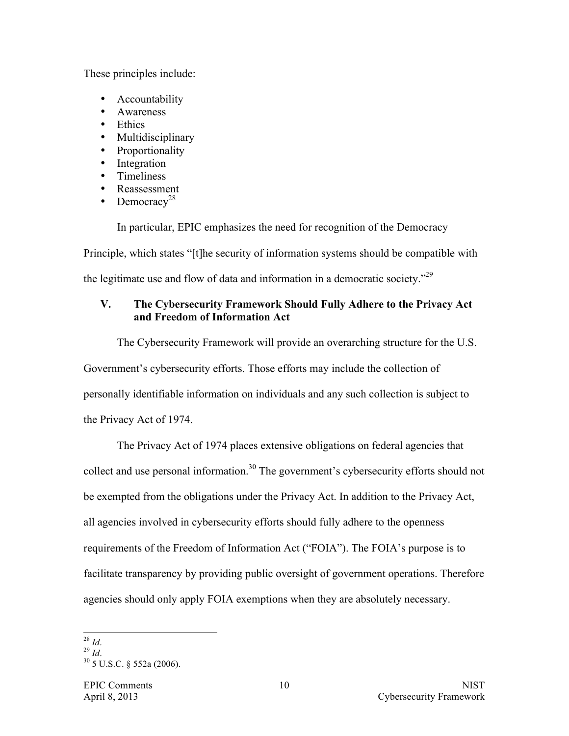These principles include:

- **Accountability**
- Awareness
- Ethics
- Multidisciplinary
- Proportionality
- Integration
- Timeliness
- Reassessment
- Democracy<sup>28</sup>

In particular, EPIC emphasizes the need for recognition of the Democracy

Principle, which states "[t]he security of information systems should be compatible with

the legitimate use and flow of data and information in a democratic society."29

# **V. The Cybersecurity Framework Should Fully Adhere to the Privacy Act and Freedom of Information Act**

The Cybersecurity Framework will provide an overarching structure for the U.S. Government's cybersecurity efforts. Those efforts may include the collection of personally identifiable information on individuals and any such collection is subject to

the Privacy Act of 1974.

The Privacy Act of 1974 places extensive obligations on federal agencies that collect and use personal information.<sup>30</sup> The government's cybersecurity efforts should not be exempted from the obligations under the Privacy Act. In addition to the Privacy Act, all agencies involved in cybersecurity efforts should fully adhere to the openness requirements of the Freedom of Information Act ("FOIA"). The FOIA's purpose is to facilitate transparency by providing public oversight of government operations. Therefore agencies should only apply FOIA exemptions when they are absolutely necessary.

 <sup>28</sup>*Id*. !!!!!!!!!!!!!!!!!!!!!!!!!!!!!!!!!!!!!!!!!!!!!!!!!!!!!!!

 <sup>29</sup>*Id*.

30 5 U.S.C. § 552a (2006).